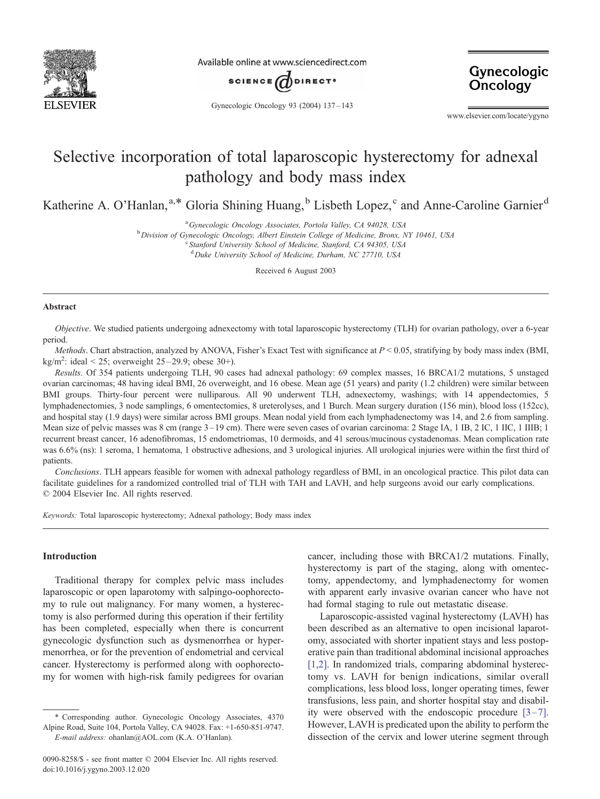

Available online at www.sciencedirect.com



Gynecologic **Oncology** 

Gynecologic Oncology 93 (2004) 137 – 143

www.elsevier.com/locate/ygyno

# Selective incorporation of total laparoscopic hysterectomy for adnexal pathology and body mass index

Katherine A. O'Hanlan,<sup>a,\*</sup> Gloria Shining Huang,<sup>b</sup> Lisbeth Lopez,<sup>c</sup> and Anne-Caroline Garnier<sup>d</sup>

<sup>a</sup> Gynecologic Oncology Associates, Portola Valley, CA 94028, USA<br><sup>b</sup> Division of Gynecologic Oncology, Albert Einstein College of Medicine, Brown

<sup>b</sup> Division of Gynecologic Oncology, Albert Einstein College of Medicine, Bronx, NY 10461, USA

<sup>c</sup> Stanford University School of Medicine, Stanford, CA 94305, USA

<sup>d</sup>Duke University School of Medicine, Durham, NC 27710, USA

Received 6 August 2003

#### Abstract

Objective. We studied patients undergoing adnexectomy with total laparoscopic hysterectomy (TLH) for ovarian pathology, over a 6-year period.

Methods. Chart abstraction, analyzed by ANOVA, Fisher's Exact Test with significance at  $P < 0.05$ , stratifying by body mass index (BMI, kg/m<sup>2</sup>: ideal < 25; overweight  $25-29.9$ ; obese  $30+$ ).

Results. Of 354 patients undergoing TLH, 90 cases had adnexal pathology: 69 complex masses, 16 BRCA1/2 mutations, 5 unstaged ovarian carcinomas; 48 having ideal BMI, 26 overweight, and 16 obese. Mean age (51 years) and parity (1.2 children) were similar between BMI groups. Thirty-four percent were nulliparous. All 90 underwent TLH, adnexectomy, washings; with 14 appendectomies, 5 lymphadenectomies, 3 node samplings, 6 omentectomies, 8 ureterolyses, and 1 Burch. Mean surgery duration (156 min), blood loss (152cc), and hospital stay (1.9 days) were similar across BMI groups. Mean nodal yield from each lymphadenectomy was 14, and 2.6 from sampling. Mean size of pelvic masses was 8 cm (range 3–19 cm). There were seven cases of ovarian carcinoma: 2 Stage IA, 1 IB, 2 IC, 1 IIC, 1 IIIB; 1 recurrent breast cancer, 16 adenofibromas, 15 endometriomas, 10 dermoids, and 41 serous/mucinous cystadenomas. Mean complication rate was 6.6% (ns): 1 seroma, 1 hematoma, 1 obstructive adhesions, and 3 urological injuries. All urological injuries were within the first third of patients.

Conclusions. TLH appears feasible for women with adnexal pathology regardless of BMI, in an oncological practice. This pilot data can facilitate guidelines for a randomized controlled trial of TLH with TAH and LAVH, and help surgeons avoid our early complications.  $© 2004 Elsevier Inc. All rights reserved.$ 

Keywords: Total laparoscopic hysterectomy; Adnexal pathology; Body mass index

## Introduction

Traditional therapy for complex pelvic mass includes laparoscopic or open laparotomy with salpingo-oophorectomy to rule out malignancy. For many women, a hysterectomy is also performed during this operation if their fertility has been completed, especially when there is concurrent gynecologic dysfunction such as dysmenorrhea or hypermenorrhea, or for the prevention of endometrial and cervical cancer. Hysterectomy is performed along with oophorectomy for women with high-risk family pedigrees for ovarian

cancer, including those with BRCA1/2 mutations. Finally, hysterectomy is part of the staging, along with omentectomy, appendectomy, and lymphadenectomy for women with apparent early invasive ovarian cancer who have not had formal staging to rule out metastatic disease.

Laparoscopic-assisted vaginal hysterectomy (LAVH) has been described as an alternative to open incisional laparotomy, associated with shorter inpatient stays and less postoperative pain than traditional abdominal incisional approaches [\[1,2\].](#page-5-0) In randomized trials, comparing abdominal hysterectomy vs. LAVH for benign indications, similar overall complications, less blood loss, longer operating times, fewer transfusions, less pain, and shorter hospital stay and disability were observed with the endoscopic procedure  $[3-7]$ . However, LAVH is predicated upon the ability to perform the dissection of the cervix and lower uterine segment through

<sup>\*</sup> Corresponding author. Gynecologic Oncology Associates, 4370 Alpine Road, Suite 104, Portola Valley, CA 94028. Fax: +1-650-851-9747. E-mail address: ohanlan@AOL.com (K.A. O'Hanlan).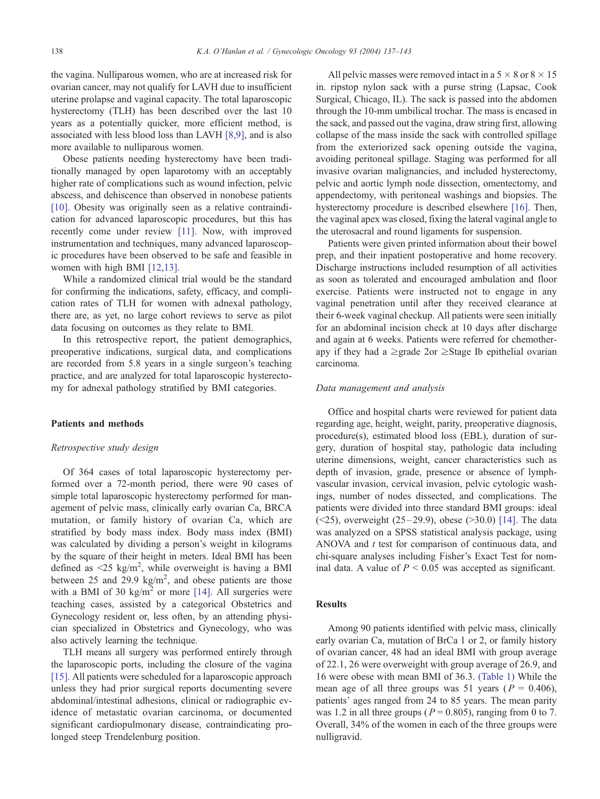the vagina. Nulliparous women, who are at increased risk for ovarian cancer, may not qualify for LAVH due to insufficient uterine prolapse and vaginal capacity. The total laparoscopic hysterectomy (TLH) has been described over the last 10 years as a potentially quicker, more efficient method, is associated with less blood loss than LAVH [\[8,9\],](#page-5-0) and is also more available to nulliparous women.

Obese patients needing hysterectomy have been traditionally managed by open laparotomy with an acceptably higher rate of complications such as wound infection, pelvic abscess, and dehiscence than observed in nonobese patients [\[10\]](#page-5-0). Obesity was originally seen as a relative contraindication for advanced laparoscopic procedures, but this has recently come under review [\[11\].](#page-5-0) Now, with improved instrumentation and techniques, many advanced laparoscopic procedures have been observed to be safe and feasible in women with high BMI [\[12,13\].](#page-5-0)

While a randomized clinical trial would be the standard for confirming the indications, safety, efficacy, and complication rates of TLH for women with adnexal pathology, there are, as yet, no large cohort reviews to serve as pilot data focusing on outcomes as they relate to BMI.

In this retrospective report, the patient demographics, preoperative indications, surgical data, and complications are recorded from 5.8 years in a single surgeon's teaching practice, and are analyzed for total laparoscopic hysterectomy for adnexal pathology stratified by BMI categories.

# Patients and methods

#### Retrospective study design

Of 364 cases of total laparoscopic hysterectomy performed over a 72-month period, there were 90 cases of simple total laparoscopic hysterectomy performed for management of pelvic mass, clinically early ovarian Ca, BRCA mutation, or family history of ovarian Ca, which are stratified by body mass index. Body mass index (BMI) was calculated by dividing a person's weight in kilograms by the square of their height in meters. Ideal BMI has been defined as  $\leq 25$  kg/m<sup>2</sup>, while overweight is having a BMI between 25 and 29.9  $\text{kg/m}^2$ , and obese patients are those with a BMI of 30 kg/m<sup>2</sup> or more [\[14\].](#page-5-0) All surgeries were teaching cases, assisted by a categorical Obstetrics and Gynecology resident or, less often, by an attending physician specialized in Obstetrics and Gynecology, who was also actively learning the technique.

TLH means all surgery was performed entirely through the laparoscopic ports, including the closure of the vagina [\[15\]](#page-5-0). All patients were scheduled for a laparoscopic approach unless they had prior surgical reports documenting severe abdominal/intestinal adhesions, clinical or radiographic evidence of metastatic ovarian carcinoma, or documented significant cardiopulmonary disease, contraindicating prolonged steep Trendelenburg position.

All pelvic masses were removed intact in a  $5 \times 8$  or  $8 \times 15$ in. ripstop nylon sack with a purse string (Lapsac, Cook Surgical, Chicago, IL). The sack is passed into the abdomen through the 10-mm umbilical trochar. The mass is encased in the sack, and passed out the vagina, draw string first, allowing collapse of the mass inside the sack with controlled spillage from the exteriorized sack opening outside the vagina, avoiding peritoneal spillage. Staging was performed for all invasive ovarian malignancies, and included hysterectomy, pelvic and aortic lymph node dissection, omentectomy, and appendectomy, with peritoneal washings and biopsies. The hysterectomy procedure is described elsewhere [\[16\].](#page-5-0) Then, the vaginal apex was closed, fixing the lateral vaginal angle to the uterosacral and round ligaments for suspension.

Patients were given printed information about their bowel prep, and their inpatient postoperative and home recovery. Discharge instructions included resumption of all activities as soon as tolerated and encouraged ambulation and floor exercise. Patients were instructed not to engage in any vaginal penetration until after they received clearance at their 6-week vaginal checkup. All patients were seen initially for an abdominal incision check at 10 days after discharge and again at 6 weeks. Patients were referred for chemotherapy if they had a  $\geq$ grade 2or  $\geq$ Stage Ib epithelial ovarian carcinoma.

#### Data management and analysis

Office and hospital charts were reviewed for patient data regarding age, height, weight, parity, preoperative diagnosis, procedure(s), estimated blood loss (EBL), duration of surgery, duration of hospital stay, pathologic data including uterine dimensions, weight, cancer characteristics such as depth of invasion, grade, presence or absence of lymphvascular invasion, cervical invasion, pelvic cytologic washings, number of nodes dissected, and complications. The patients were divided into three standard BMI groups: ideal (<25), overweight  $(25-29.9)$ , obese (>30.0) [\[14\].](#page-5-0) The data was analyzed on a SPSS statistical analysis package, using ANOVA and  $t$  test for comparison of continuous data, and chi-square analyses including Fisher's Exact Test for nominal data. A value of  $P \le 0.05$  was accepted as significant.

#### Results

Among 90 patients identified with pelvic mass, clinically early ovarian Ca, mutation of BrCa 1 or 2, or family history of ovarian cancer, 48 had an ideal BMI with group average of 22.1, 26 were overweight with group average of 26.9, and 16 were obese with mean BMI of 36.3. [\(Table 1\)](#page-2-0) While the mean age of all three groups was 51 years ( $P = 0.406$ ), patients' ages ranged from 24 to 85 years. The mean parity was 1.2 in all three groups ( $P = 0.805$ ), ranging from 0 to 7. Overall, 34% of the women in each of the three groups were nulligravid.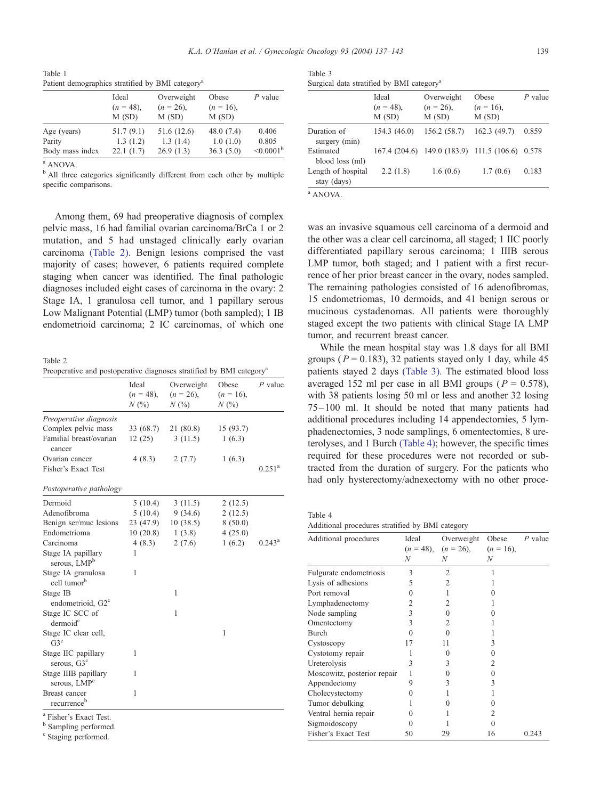<span id="page-2-0"></span>Table 1 Patient demographics stratified by BMI categorya

|                 | Ideal<br>$(n = 48)$ , | Overweight<br>$(n = 26)$ , | Obese<br>$(n = 16)$ , | $P$ value             |  |
|-----------------|-----------------------|----------------------------|-----------------------|-----------------------|--|
|                 | M(SD)                 | M(SD)                      | M(SD)                 |                       |  |
| Age (years)     | 51.7(9.1)             | 51.6 (12.6)                | 48.0(7.4)             | 0.406                 |  |
| Parity          | 1.3(1.2)              | 1.3(1.4)                   | 1.0(1.0)              | 0.805                 |  |
| Body mass index | 22.1(1.7)             | 26.9(1.3)                  | 36.3(5.0)             | $\leq 0.0001^{\rm b}$ |  |

<sup>a</sup> ANOVA.

<sup>b</sup> All three categories significantly different from each other by multiple specific comparisons.

Table 3 Surgical data stratified by BMI category<sup>a</sup>

|                                   | Ideal<br>$(n = 48)$ ,<br>M(SD) | Overweight<br>$(n = 26)$ ,<br>M(SD)       | Obese<br>$(n = 16)$ ,<br>M(SD) | $P$ value |
|-----------------------------------|--------------------------------|-------------------------------------------|--------------------------------|-----------|
| Duration of<br>surgery (min)      | 154.3 (46.0)                   | 156.2 (58.7)                              | 162.3(49.7)                    | 0.859     |
| Estimated<br>blood loss (ml)      |                                | 167.4 (204.6) 149.0 (183.9) 111.5 (106.6) |                                | 0.578     |
| Length of hospital<br>stay (days) | 2.2(1.8)                       | 1.6(0.6)                                  | 1.7(0.6)                       | 0.183     |

was an invasive squamous cell carcinoma of a dermoid and the other was a clear cell carcinoma, all staged; 1 IIC poorly differentiated papillary serous carcinoma; 1 IIIB serous LMP tumor, both staged; and 1 patient with a first recurrence of her prior breast cancer in the ovary, nodes sampled.

<sup>a</sup> ANOVA.

Among them, 69 had preoperative diagnosis of complex pelvic mass, 16 had familial ovarian carcinoma/BrCa 1 or 2 mutation, and 5 had unstaged clinically early ovarian carcinoma (Table 2). Benign lesions comprised the vast majority of cases; however, 6 patients required complete staging when cancer was identified. The final pathologic diagnoses included eight cases of carcinoma in the ovary: 2 Stage IA, 1 granulosa cell tumor, and 1 papillary serous Low Malignant Potential (LMP) tumor (both sampled); 1 IB endometrioid carcinoma; 2 IC carcinomas, of which one

Table 2 Preoperative and postoperative diagnoses stratified by BMI category<sup>a</sup>

|                                                  | Ideal<br>$(n = 48)$ ,<br>N(%) | Overweight<br>$(n = 26)$ ,<br>N(% | Obese<br>$(n = 16)$ ,<br>N(% | $P$ value            |  |
|--------------------------------------------------|-------------------------------|-----------------------------------|------------------------------|----------------------|--|
| Preoperative diagnosis                           |                               |                                   |                              |                      |  |
| Complex pelvic mass                              | 33 (68.7)                     | 21 (80.8)                         | 15(93.7)                     |                      |  |
| Familial breast/ovarian<br>cancer                | 12(25)                        | 3(11.5)                           | 1(6.3)                       |                      |  |
| Ovarian cancer                                   | 4(8.3)                        | 2(7.7)                            | 1(6.3)                       |                      |  |
| Fisher's Exact Test                              |                               |                                   |                              | $0.251$ <sup>a</sup> |  |
| Postoperative pathology                          |                               |                                   |                              |                      |  |
| Dermoid                                          | 5(10.4)                       | 3(11.5)                           | 2(12.5)                      |                      |  |
| Adenofibroma                                     | 5(10.4)                       | 9(34.6)                           | 2(12.5)                      |                      |  |
| Benign ser/muc lesions                           | 23 (47.9)                     | 10(38.5)                          | 8(50.0)                      |                      |  |
| Endometrioma                                     | 10(20.8)                      | 1(3.8)                            | 4(25.0)                      |                      |  |
| Carcinoma                                        | 4(8.3)                        | 2(7.6)                            | 1(6.2)                       | $0.243^{\rm a}$      |  |
| Stage IA papillary<br>serous, LMP <sup>b</sup>   | 1                             |                                   |                              |                      |  |
| Stage IA granulosa<br>cell tumor <sup>b</sup>    | 1                             |                                   |                              |                      |  |
| Stage IB                                         |                               | 1                                 |                              |                      |  |
| endometrioid, G2 <sup>c</sup>                    |                               |                                   |                              |                      |  |
| Stage IC SCC of<br>dermoid <sup>c</sup>          |                               | 1                                 |                              |                      |  |
| Stage IC clear cell,<br>$G3^c$                   |                               |                                   | 1                            |                      |  |
| Stage IIC papillary<br>serous, G3 <sup>c</sup>   | 1                             |                                   |                              |                      |  |
| Stage IIIB papillary<br>serous, LMP <sup>c</sup> | 1                             |                                   |                              |                      |  |
| Breast cancer<br>recurrence <sup>b</sup>         | 1                             |                                   |                              |                      |  |
| <sup>a</sup> Fisher's Exact Test.                |                               |                                   |                              |                      |  |

<sup>b</sup> Sampling performed.

<sup>c</sup> Staging performed.

| The remaining pathologies consisted of 16 adenofibromas,        |
|-----------------------------------------------------------------|
| 15 endometriomas, 10 dermoids, and 41 benign serous or          |
| mucinous cystadenomas. All patients were thoroughly             |
| staged except the two patients with clinical Stage IA LMP       |
| tumor, and recurrent breast cancer.                             |
| While the mean hospital stay was 1.8 days for all BMI           |
| groups ( $P = 0.183$ ), 32 patients stayed only 1 day, while 45 |
| patients stayed 2 days (Table 3). The estimated blood loss      |
| averaged 152 ml per case in all BMI groups ( $P = 0.578$ ),     |
| with 38 patients losing 50 ml or less and another 32 losing     |
| 75-100 ml. It should be noted that many patients had            |
| additional procedures including 14 appendectomies, 5 lym-       |
| phadenectomies, 3 node samplings, 6 omentectomies, 8 ure-       |
| terolyses, and 1 Burch (Table 4); however, the specific times   |

required for these procedures were not recorded or subtracted from the duration of surgery. For the patients who had only hysterectomy/adnexectomy with no other proce-

Table 4 Additional procedures stratified by BMI category

| Ideal | Overweight | Obese                          | $P$ value         |
|-------|------------|--------------------------------|-------------------|
|       |            |                                |                   |
|       |            |                                |                   |
| 3     | 2          |                                |                   |
| 5     | 2          |                                |                   |
| 0     |            |                                |                   |
| 2     | 2          |                                |                   |
| 3     | $\Omega$   |                                |                   |
| 3     | 2          |                                |                   |
| 0     | 0          |                                |                   |
| 17    | 11         |                                |                   |
|       | ∩          | 0                              |                   |
| 3     | 3          | 2                              |                   |
|       |            | $\Omega$                       |                   |
| 9     | 3          | 3                              |                   |
| 0     |            |                                |                   |
|       |            |                                |                   |
|       |            | 2                              |                   |
|       |            |                                |                   |
| 50    | 29         | 16                             | 0.243             |
|       | N          | $(n = 48)$ , $(n = 26)$ ,<br>N | $(n = 16)$ ,<br>N |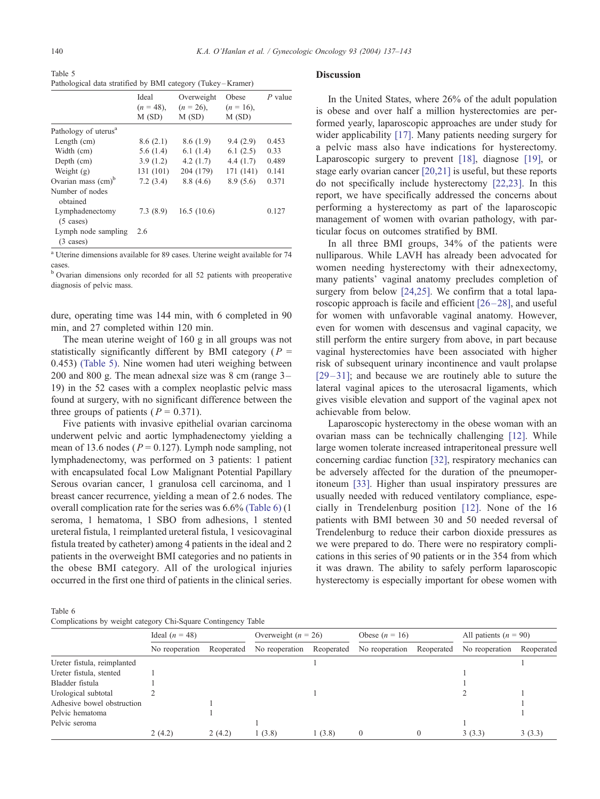Table 5 Pathological data stratified by BMI category (Tukey – Kramer)

|                                            | Ideal<br>$(n = 48)$ ,<br>M(SD) | Overweight<br>$(n = 26)$ ,<br>M(SD) | Obese<br>$(n = 16)$ ,<br>M(SD) | $P$ value |
|--------------------------------------------|--------------------------------|-------------------------------------|--------------------------------|-----------|
| Pathology of uterus <sup>a</sup>           |                                |                                     |                                |           |
| Length $(cm)$                              | 8.6(2.1)                       | 8.6(1.9)                            | 9.4(2.9)                       | 0.453     |
| Width (cm)                                 | 5.6(1.4)                       | 6.1(1.4)                            | 6.1(2.5)                       | 0.33      |
| Depth (cm)                                 | 3.9(1.2)                       | 4.2 $(1.7)$                         | 4.4(1.7)                       | 0.489     |
| Weight $(g)$                               | 131 (101)                      | 204 (179)                           | 171 (141)                      | 0.141     |
| Ovarian mass $\text{(cm)}^{\text{b}}$      | 7.2(3.4)                       | 8.8(4.6)                            | 8.9(5.6)                       | 0.371     |
| Number of nodes<br>obtained                |                                |                                     |                                |           |
| Lymphadenectomy<br>$(5 \cases)$            | 7.3(8.9)                       | 16.5(10.6)                          |                                | 0.127     |
| Lymph node sampling<br>$(3 \text{ cases})$ | 2.6                            |                                     |                                |           |

<sup>a</sup> Uterine dimensions available for 89 cases. Uterine weight available for 74 cases.

<sup>b</sup> Ovarian dimensions only recorded for all 52 patients with preoperative diagnosis of pelvic mass.

dure, operating time was 144 min, with 6 completed in 90 min, and 27 completed within 120 min.

The mean uterine weight of 160 g in all groups was not statistically significantly different by BMI category ( $P =$ 0.453) (Table 5). Nine women had uteri weighing between 200 and 800 g. The mean adnexal size was 8 cm (range 3– 19) in the 52 cases with a complex neoplastic pelvic mass found at surgery, with no significant difference between the three groups of patients ( $P = 0.371$ ).

Five patients with invasive epithelial ovarian carcinoma underwent pelvic and aortic lymphadenectomy yielding a mean of 13.6 nodes ( $P = 0.127$ ). Lymph node sampling, not lymphadenectomy, was performed on 3 patients: 1 patient with encapsulated focal Low Malignant Potential Papillary Serous ovarian cancer, 1 granulosa cell carcinoma, and 1 breast cancer recurrence, yielding a mean of 2.6 nodes. The overall complication rate for the series was 6.6% (Table 6) (1 seroma, 1 hematoma, 1 SBO from adhesions, 1 stented ureteral fistula, 1 reimplanted ureteral fistula, 1 vesicovaginal fistula treated by catheter) among 4 patients in the ideal and 2 patients in the overweight BMI categories and no patients in the obese BMI category. All of the urological injuries occurred in the first one third of patients in the clinical series.

#### Discussion

In the United States, where 26% of the adult population is obese and over half a million hysterectomies are performed yearly, laparoscopic approaches are under study for wider applicability [\[17\].](#page-5-0) Many patients needing surgery for a pelvic mass also have indications for hysterectomy. Laparoscopic surgery to prevent [\[18\],](#page-5-0) diagnose [\[19\],](#page-5-0) or stage early ovarian cancer [\[20,21\]](#page-5-0) is useful, but these reports do not specifically include hysterectomy [\[22,23\].](#page-5-0) In this report, we have specifically addressed the concerns about performing a hysterectomy as part of the laparoscopic management of women with ovarian pathology, with particular focus on outcomes stratified by BMI.

In all three BMI groups, 34% of the patients were nulliparous. While LAVH has already been advocated for women needing hysterectomy with their adnexectomy, many patients' vaginal anatomy precludes completion of surgery from below [\[24,25\].](#page-5-0) We confirm that a total laparoscopic approach is facile and efficient [\[26 –28\],](#page-5-0) and useful for women with unfavorable vaginal anatomy. However, even for women with descensus and vaginal capacity, we still perform the entire surgery from above, in part because vaginal hysterectomies have been associated with higher risk of subsequent urinary incontinence and vault prolapse  $[29-31]$ ; and because we are routinely able to suture the lateral vaginal apices to the uterosacral ligaments, which gives visible elevation and support of the vaginal apex not achievable from below.

Laparoscopic hysterectomy in the obese woman with an ovarian mass can be technically challenging [\[12\].](#page-5-0) While large women tolerate increased intraperitoneal pressure well concerning cardiac function [\[32\],](#page-5-0) respiratory mechanics can be adversely affected for the duration of the pneumoperitoneum [\[33\].](#page-5-0) Higher than usual inspiratory pressures are usually needed with reduced ventilatory compliance, especially in Trendelenburg position [\[12\].](#page-5-0) None of the 16 patients with BMI between 30 and 50 needed reversal of Trendelenburg to reduce their carbon dioxide pressures as we were prepared to do. There were no respiratory complications in this series of 90 patients or in the 354 from which it was drawn. The ability to safely perform laparoscopic hysterectomy is especially important for obese women with

Table 6 Complications by weight category Chi-Square Contingency Table

|                             | Ideal $(n = 48)$ |            | Overweight $(n = 26)$ |            | Obese $(n = 16)$ |            | All patients $(n = 90)$ |            |
|-----------------------------|------------------|------------|-----------------------|------------|------------------|------------|-------------------------|------------|
|                             | No reoperation   | Reoperated | No reoperation        | Reoperated | No reoperation   | Reoperated | No reoperation          | Reoperated |
| Ureter fistula, reimplanted |                  |            |                       |            |                  |            |                         |            |
| Ureter fistula, stented     |                  |            |                       |            |                  |            |                         |            |
| Bladder fistula             |                  |            |                       |            |                  |            |                         |            |
| Urological subtotal         |                  |            |                       |            |                  |            |                         |            |
| Adhesive bowel obstruction  |                  |            |                       |            |                  |            |                         |            |
| Pelvic hematoma             |                  |            |                       |            |                  |            |                         |            |
| Pelvic seroma               |                  |            |                       |            |                  |            |                         |            |
|                             | 2(4.2)           | 2(4.2)     | 1(3.8)                | 1(3.8)     | $\Omega$         |            | 3(3.3)                  | 3(3.3)     |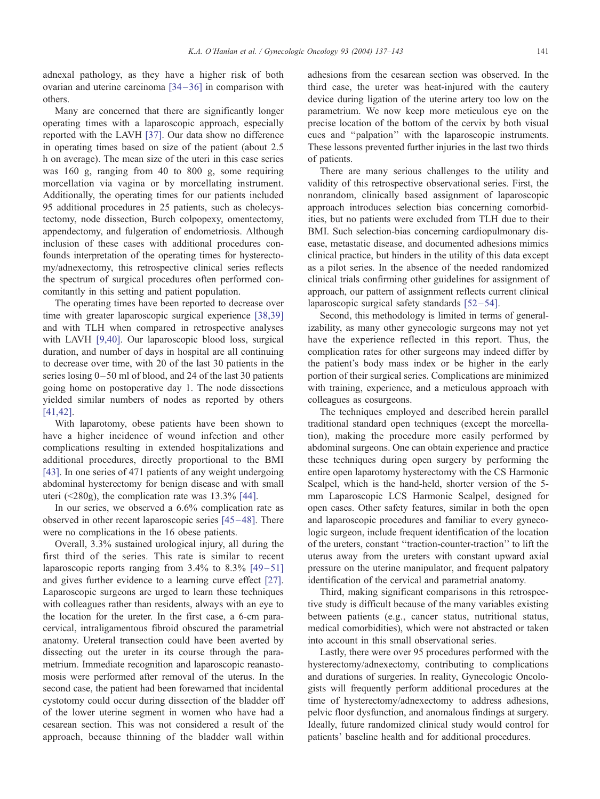adnexal pathology, as they have a higher risk of both ovarian and uterine carcinoma  $[34-36]$  in comparison with others.

Many are concerned that there are significantly longer operating times with a laparoscopic approach, especially reported with the LAVH [\[37\].](#page-6-0) Our data show no difference in operating times based on size of the patient (about 2.5 h on average). The mean size of the uteri in this case series was 160 g, ranging from 40 to 800 g, some requiring morcellation via vagina or by morcellating instrument. Additionally, the operating times for our patients included 95 additional procedures in 25 patients, such as cholecystectomy, node dissection, Burch colpopexy, omentectomy, appendectomy, and fulgeration of endometriosis. Although inclusion of these cases with additional procedures confounds interpretation of the operating times for hysterectomy/adnexectomy, this retrospective clinical series reflects the spectrum of surgical procedures often performed concomitantly in this setting and patient population.

The operating times have been reported to decrease over time with greater laparoscopic surgical experience [\[38,39\]](#page-6-0) and with TLH when compared in retrospective analyses with LAVH [\[9,40\].](#page-5-0) Our laparoscopic blood loss, surgical duration, and number of days in hospital are all continuing to decrease over time, with 20 of the last 30 patients in the series losing 0– 50 ml of blood, and 24 of the last 30 patients going home on postoperative day 1. The node dissections yielded similar numbers of nodes as reported by others [\[41,42\].](#page-6-0)

With laparotomy, obese patients have been shown to have a higher incidence of wound infection and other complications resulting in extended hospitalizations and additional procedures, directly proportional to the BMI [\[43\].](#page-6-0) In one series of 471 patients of any weight undergoing abdominal hysterectomy for benign disease and with small uteri (<280g), the complication rate was 13.3% [\[44\].](#page-6-0)

In our series, we observed a 6.6% complication rate as observed in other recent laparoscopic series [\[45 –48\].](#page-6-0) There were no complications in the 16 obese patients.

Overall, 3.3% sustained urological injury, all during the first third of the series. This rate is similar to recent laparoscopic reports ranging from  $3.4\%$  to  $8.3\%$  [49-51] and gives further evidence to a learning curve effect [\[27\].](#page-5-0) Laparoscopic surgeons are urged to learn these techniques with colleagues rather than residents, always with an eye to the location for the ureter. In the first case, a 6-cm paracervical, intraligamentous fibroid obscured the parametrial anatomy. Ureteral transection could have been averted by dissecting out the ureter in its course through the parametrium. Immediate recognition and laparoscopic reanastomosis were performed after removal of the uterus. In the second case, the patient had been forewarned that incidental cystotomy could occur during dissection of the bladder off of the lower uterine segment in women who have had a cesarean section. This was not considered a result of the approach, because thinning of the bladder wall within

adhesions from the cesarean section was observed. In the third case, the ureter was heat-injured with the cautery device during ligation of the uterine artery too low on the parametrium. We now keep more meticulous eye on the precise location of the bottom of the cervix by both visual cues and ''palpation'' with the laparoscopic instruments. These lessons prevented further injuries in the last two thirds of patients.

There are many serious challenges to the utility and validity of this retrospective observational series. First, the nonrandom, clinically based assignment of laparoscopic approach introduces selection bias concerning comorbidities, but no patients were excluded from TLH due to their BMI. Such selection-bias concerning cardiopulmonary disease, metastatic disease, and documented adhesions mimics clinical practice, but hinders in the utility of this data except as a pilot series. In the absence of the needed randomized clinical trials confirming other guidelines for assignment of approach, our pattern of assignment reflects current clinical laparoscopic surgical safety standards  $[52-54]$ .

Second, this methodology is limited in terms of generalizability, as many other gynecologic surgeons may not yet have the experience reflected in this report. Thus, the complication rates for other surgeons may indeed differ by the patient's body mass index or be higher in the early portion of their surgical series. Complications are minimized with training, experience, and a meticulous approach with colleagues as cosurgeons.

The techniques employed and described herein parallel traditional standard open techniques (except the morcellation), making the procedure more easily performed by abdominal surgeons. One can obtain experience and practice these techniques during open surgery by performing the entire open laparotomy hysterectomy with the CS Harmonic Scalpel, which is the hand-held, shorter version of the 5 mm Laparoscopic LCS Harmonic Scalpel, designed for open cases. Other safety features, similar in both the open and laparoscopic procedures and familiar to every gynecologic surgeon, include frequent identification of the location of the ureters, constant ''traction-counter-traction'' to lift the uterus away from the ureters with constant upward axial pressure on the uterine manipulator, and frequent palpatory identification of the cervical and parametrial anatomy.

Third, making significant comparisons in this retrospective study is difficult because of the many variables existing between patients (e.g., cancer status, nutritional status, medical comorbidities), which were not abstracted or taken into account in this small observational series.

Lastly, there were over 95 procedures performed with the hysterectomy/adnexectomy, contributing to complications and durations of surgeries. In reality, Gynecologic Oncologists will frequently perform additional procedures at the time of hysterectomy/adnexectomy to address adhesions, pelvic floor dysfunction, and anomalous findings at surgery. Ideally, future randomized clinical study would control for patients' baseline health and for additional procedures.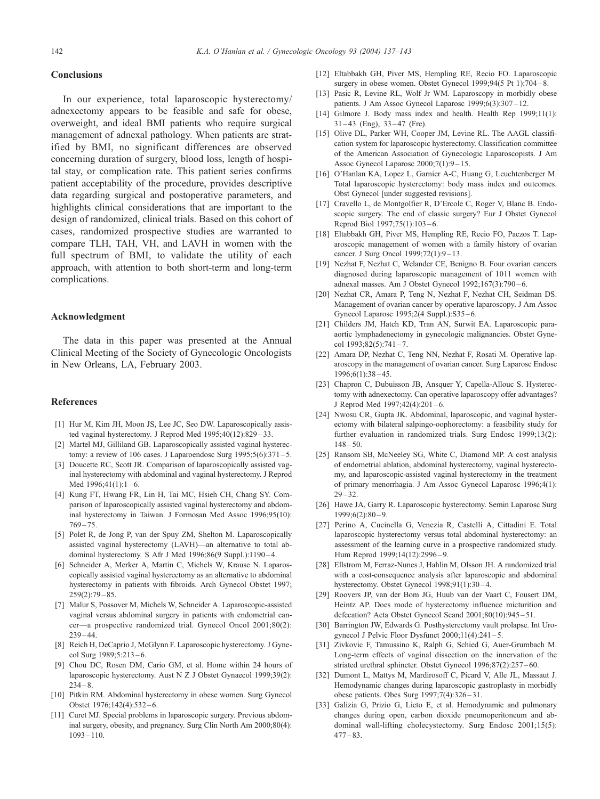# <span id="page-5-0"></span>**Conclusions**

# In our experience, total laparoscopic hysterectomy/ adnexectomy appears to be feasible and safe for obese, overweight, and ideal BMI patients who require surgical management of adnexal pathology. When patients are stratified by BMI, no significant differences are observed concerning duration of surgery, blood loss, length of hospital stay, or complication rate. This patient series confirms patient acceptability of the procedure, provides descriptive data regarding surgical and postoperative parameters, and highlights clinical considerations that are important to the design of randomized, clinical trials. Based on this cohort of cases, randomized prospective studies are warranted to compare TLH, TAH, VH, and LAVH in women with the full spectrum of BMI, to validate the utility of each approach, with attention to both short-term and long-term complications.

## Acknowledgment

The data in this paper was presented at the Annual Clinical Meeting of the Society of Gynecologic Oncologists in New Orleans, LA, February 2003.

# References

- [1] Hur M, Kim JH, Moon JS, Lee JC, Seo DW. Laparoscopically assisted vaginal hysterectomy. J Reprod Med 1995;40(12):829 – 33.
- [2] Martel MJ, Gilliland GB. Laparoscopically assisted vaginal hysterectomy: a review of 106 cases. J Laparoendosc Surg  $1995;5(6):371-5$ .
- [3] Doucette RC, Scott JR. Comparison of laparoscopically assisted vaginal hysterectomy with abdominal and vaginal hysterectomy. J Reprod Med  $1996;41(1):1-6$ .
- [4] Kung FT, Hwang FR, Lin H, Tai MC, Hsieh CH, Chang SY. Comparison of laparoscopically assisted vaginal hysterectomy and abdominal hysterectomy in Taiwan. J Formosan Med Assoc 1996;95(10):  $769 - 75$
- [5] Polet R, de Jong P, van der Spuy ZM, Shelton M. Laparoscopically assisted vaginal hysterectomy (LAVH)—an alternative to total abdominal hysterectomy. S Afr J Med 1996;86(9 Suppl.):1190-4.
- [6] Schneider A, Merker A, Martin C, Michels W, Krause N. Laparoscopically assisted vaginal hysterectomy as an alternative to abdominal hysterectomy in patients with fibroids. Arch Gynecol Obstet 1997;  $259(2):79 - 85.$
- [7] Malur S, Possover M, Michels W, Schneider A. Laparoscopic-assisted vaginal versus abdominal surgery in patients with endometrial cancer—a prospective randomized trial. Gynecol Oncol 2001;80(2):  $239 - 44$
- [8] Reich H, DeCaprio J, McGlynn F, Laparoscopic hysterectomy. J Gynecol Surg 1989;5:213-6.
- [9] Chou DC, Rosen DM, Cario GM, et al. Home within 24 hours of laparoscopic hysterectomy. Aust N Z J Obstet Gynaecol 1999;39(2):  $234 - 8$
- [10] Pitkin RM. Abdominal hysterectomy in obese women. Surg Gynecol Obstet 1976;142(4):532 – 6.
- [11] Curet MJ. Special problems in laparoscopic surgery. Previous abdominal surgery, obesity, and pregnancy. Surg Clin North Am 2000;80(4):  $1093 - 110$
- [12] Eltabbakh GH, Piver MS, Hempling RE, Recio FO. Laparoscopic surgery in obese women. Obstet Gynecol 1999;94(5 Pt 1):704-8.
- [13] Pasic R, Levine RL, Wolf Jr WM. Laparoscopy in morbidly obese patients. J Am Assoc Gynecol Laparosc 1999;6(3):307 – 12.
- [14] Gilmore J. Body mass index and health. Health Rep 1999;11(1):  $31 - 43$  (Eng),  $33 - 47$  (Fre).
- [15] Olive DL, Parker WH, Cooper JM, Levine RL. The AAGL classification system for laparoscopic hysterectomy. Classification committee of the American Association of Gynecologic Laparoscopists. J Am Assoc Gynecol Laparosc 2000;7(1):9 – 15.
- [16] O'Hanlan KA, Lopez L, Garnier A-C, Huang G, Leuchtenberger M. Total laparoscopic hysterectomy: body mass index and outcomes. Obst Gynecol [under suggested revisions].
- [17] Cravello L, de Montgolfier R, D'Ercole C, Roger V, Blanc B. Endoscopic surgery. The end of classic surgery? Eur J Obstet Gynecol Reprod Biol 1997;75(1):103 – 6.
- [18] Eltabbakh GH, Piver MS, Hempling RE, Recio FO, Paczos T. Laparoscopic management of women with a family history of ovarian cancer. J Surg Oncol 1999;72(1):9-13.
- [19] Nezhat F, Nezhat C, Welander CE, Benigno B. Four ovarian cancers diagnosed during laparoscopic management of 1011 women with adnexal masses. Am J Obstet Gynecol 1992;167(3):790 – 6.
- [20] Nezhat CR, Amara P, Teng N, Nezhat F, Nezhat CH, Seidman DS. Management of ovarian cancer by operative laparoscopy. J Am Assoc Gynecol Laparosc 1995;2(4 Suppl.):S35 – 6.
- [21] Childers JM, Hatch KD, Tran AN, Surwit EA. Laparoscopic paraaortic lymphadenectomy in gynecologic malignancies. Obstet Gynecol  $1993:82(5):741-7$ .
- [22] Amara DP, Nezhat C, Teng NN, Nezhat F, Rosati M. Operative laparoscopy in the management of ovarian cancer. Surg Laparosc Endosc 1996;6(1):38 – 45.
- [23] Chapron C, Dubuisson JB, Ansquer Y, Capella-Allouc S. Hysterectomy with adnexectomy. Can operative laparoscopy offer advantages? J Reprod Med 1997;42(4):201 – 6.
- [24] Nwosu CR, Gupta JK. Abdominal, laparoscopic, and vaginal hysterectomy with bilateral salpingo-oophorectomy: a feasibility study for further evaluation in randomized trials. Surg Endosc 1999;13(2):  $148 - 50.$
- [25] Ransom SB, McNeeley SG, White C, Diamond MP. A cost analysis of endometrial ablation, abdominal hysterectomy, vaginal hysterectomy, and laparoscopic-assisted vaginal hysterectomy in the treatment of primary menorrhagia. J Am Assoc Gynecol Laparosc 1996;4(1):  $29 - 32.$
- [26] Hawe JA, Garry R. Laparoscopic hysterectomy. Semin Laparosc Surg  $1999:6(2):80 - 9$ .
- [27] Perino A, Cucinella G, Venezia R, Castelli A, Cittadini E. Total laparoscopic hysterectomy versus total abdominal hysterectomy: an assessment of the learning curve in a prospective randomized study. Hum Reprod 1999;14(12):2996-9.
- [28] Ellstrom M, Ferraz-Nunes J, Hahlin M, Olsson JH. A randomized trial with a cost-consequence analysis after laparoscopic and abdominal hysterectomy. Obstet Gynecol 1998;91(1):30 – 4.
- [29] Roovers JP, van der Bom JG, Huub van der Vaart C, Fousert DM, Heintz AP. Does mode of hysterectomy influence micturition and defecation? Acta Obstet Gynecol Scand 2001;80(10):945 – 51.
- [30] Barrington JW, Edwards G. Posthysterectomy vault prolapse. Int Urogynecol J Pelvic Floor Dysfunct 2000;11(4):241 – 5.
- [31] Zivkovic F, Tamussino K, Ralph G, Schied G, Auer-Grumbach M. Long-term effects of vaginal dissection on the innervation of the striated urethral sphincter. Obstet Gynecol 1996;87(2):257 – 60.
- [32] Dumont L, Mattys M, Mardirosoff C, Picard V, Alle JL, Massaut J. Hemodynamic changes during laparoscopic gastroplasty in morbidly obese patients. Obes Surg 1997;7(4):326 – 31.
- [33] Galizia G, Prizio G, Lieto E, et al. Hemodynamic and pulmonary changes during open, carbon dioxide pneumoperitoneum and abdominal wall-lifting cholecystectomy. Surg Endosc 2001;15(5):  $477 - 83.$